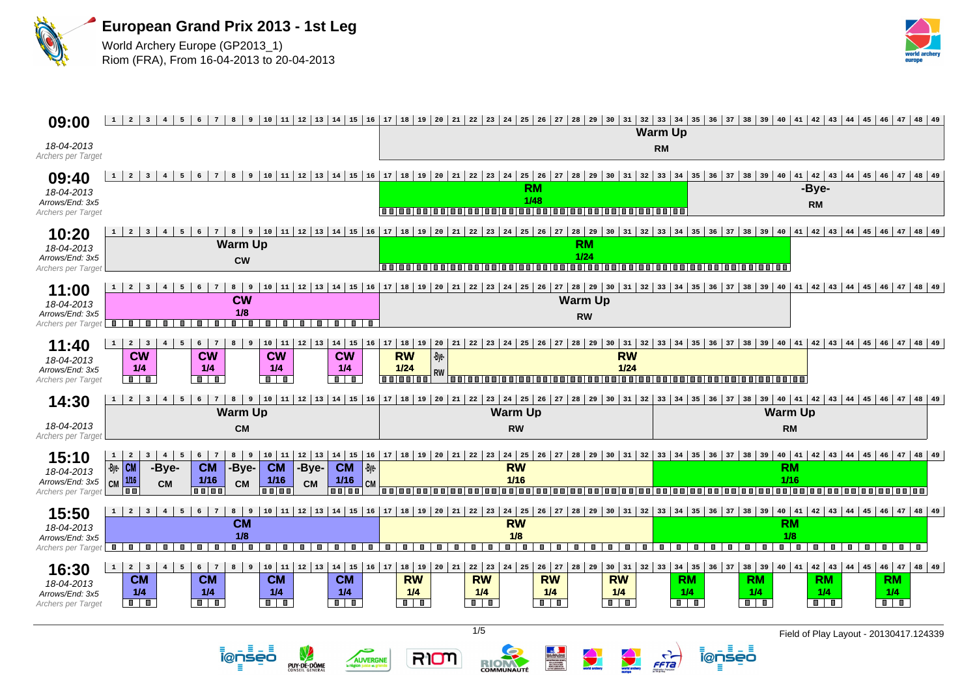

ienseo

PUY-DE-DÔME

÷

AUVERGNE

RIOM



| 09:00                                                        | $1 \mid 2 \mid 3$<br>$\overline{4}$<br>5<br>6<br>$7\phantom{.0}$<br>8                                                                                                                                                                                                                                                                                                                                                                                    | 9   10   11   12   13   14   15   16   17   18   19   20   21   22   23   24   25   26   27   28   29   30   31<br>$32$ $33$ $34$ $35$ $36$ $37$ $38$ $39$ $40$ $41$ $42$ $43$ $44$ $45$ $46$ $47$ $48$ $49$<br><b>Warm Up</b>                               |                                                                                                                                                                                                                                                                                |  |  |  |  |  |
|--------------------------------------------------------------|----------------------------------------------------------------------------------------------------------------------------------------------------------------------------------------------------------------------------------------------------------------------------------------------------------------------------------------------------------------------------------------------------------------------------------------------------------|--------------------------------------------------------------------------------------------------------------------------------------------------------------------------------------------------------------------------------------------------------------|--------------------------------------------------------------------------------------------------------------------------------------------------------------------------------------------------------------------------------------------------------------------------------|--|--|--|--|--|
| 18-04-2013<br>Archers per Target                             |                                                                                                                                                                                                                                                                                                                                                                                                                                                          |                                                                                                                                                                                                                                                              | <b>RM</b>                                                                                                                                                                                                                                                                      |  |  |  |  |  |
| 09:40<br>18-04-2013<br>Arrows/End: 3x5<br>Archers per Target | $1 \mid 2 \mid 3$<br>$\overline{4}$<br>9 <sup>1</sup><br>5 <sup>1</sup><br>6<br>8                                                                                                                                                                                                                                                                                                                                                                        | <b>RM</b><br>1/48                                                                                                                                                                                                                                            | 10 11 2 3 44 45 46 47 48 49 49 40 41 42 43 44 45 46 47 48 49 49 40 41 42 43 44 45 46 47 48 49 49 40 41 42 43 44 45 46 47 48 49 49<br>-Bve-<br><b>RM</b>                                                                                                                        |  |  |  |  |  |
| 10:20<br>18-04-2013<br>Arrows/End: 3x5<br>Archers per Target | $1 \mid 2 \mid 3$<br>$5 \mid 6 \mid$<br>$\bf{8}$<br>$4 \vert$<br>$7\overline{ }$<br><b>Warm Up</b><br><b>CW</b>                                                                                                                                                                                                                                                                                                                                          | 9   10   11   12   13   14   15   16   17   18   19   20   21   22   23   24   25   26   27   28   29   30   31   32   33   34   35   36   37   38   39   40   41<br><b>RM</b><br>$1/24$<br>1<br>mml<br>n n i n n i                                          | 42   43   44   45   46   47   48   49<br>000000000000000000000000000000000                                                                                                                                                                                                     |  |  |  |  |  |
| 11:00<br>18-04-2013<br>Arrows/End: 3x5<br>Archers per Target | $8 \mid 9$<br>2 <sup>1</sup><br>5<br>$\overline{\mathbf{3}}$<br>$6\overline{6}$<br><b>CW</b><br>1/8<br>İ<br>П<br>π<br>т<br>Ξ<br>Π<br><b>III</b><br>$\blacksquare$<br>$\blacksquare$<br>ш                                                                                                                                                                                                                                                                 | <b>Warm Up</b><br><b>RW</b>                                                                                                                                                                                                                                  | 10 11 2 3 44 45 46 47 48 49 49 40 41 42 43 44 45 46 47 48 49 49 40 41 42 43 44 5 40 41 42 43 44 45 46 47 48 49                                                                                                                                                                 |  |  |  |  |  |
| 11:40<br>18-04-2013<br>Arrows/End: 3x5<br>Archers per Target | $2 \mid 3$<br>$10 \mid 11 \mid$<br>  12   13   14   15   16   17   18   19   20<br>$\overline{4}$<br>$1 \vert$<br>5<br>6<br>8<br>9<br>7<br><b>CW</b><br><b>CW</b><br><b>CW</b><br><b>CW</b><br>1/4<br>1/4<br>1/4<br>1/4<br>$\blacksquare$<br>$\blacksquare$<br>$\blacksquare$<br>$\blacksquare$<br>$\blacksquare$                                                                                                                                        | $22 \mid 23 \mid 24 \mid 25 \mid 26 \mid 27$<br>  28   29   30   31<br>21<br><b>RW</b><br>-Bye-<br><b>RW</b><br>$1/24$<br>$1/24$<br><b>RW</b><br>n n i n n i n n i<br>88 88 88<br>n n                                                                        | 32   33   34   35   36   37   38   39   40   41   42   43   44   45   46   47   48   49<br>88 88                                                                                                                                                                               |  |  |  |  |  |
|                                                              |                                                                                                                                                                                                                                                                                                                                                                                                                                                          |                                                                                                                                                                                                                                                              |                                                                                                                                                                                                                                                                                |  |  |  |  |  |
| 14:30                                                        | $1 \mid 2 \mid 3$<br>8<br>$4\overline{ }$<br>5 <sup>1</sup><br>$6^{\circ}$<br><b>Warm Up</b>                                                                                                                                                                                                                                                                                                                                                             | 9   10   11   12   13   14   15   16   17   18   19   20   21   22   23   24   25   26   27   28   29   30   31   32<br><b>Warm Up</b>                                                                                                                       | 33   34   35   36   37   38   39   40   41   42   43   44   45   46   47   48   49<br><b>Warm Up</b>                                                                                                                                                                           |  |  |  |  |  |
| 18-04-2013<br>Archers per Target                             | <b>CM</b>                                                                                                                                                                                                                                                                                                                                                                                                                                                | <b>RW</b>                                                                                                                                                                                                                                                    | <b>RM</b>                                                                                                                                                                                                                                                                      |  |  |  |  |  |
| 15:10<br>18-04-2013<br>Arrows/End: 3x5<br>Archers per Target | 8<br>$10 \mid 11$<br>$12 \mid 13$<br>$14 \mid 15 \mid 16$<br>$1 \vert$<br>$\overline{2}$<br>$\overline{4}$<br>$5\overline{5}$<br>6 <sup>1</sup><br>و  <br>$\overline{\mathbf{3}}$<br>7<br>$\cdot$ Bye $\overline{\text{CM}}$<br><b>CM</b><br>$\vert$ -Bye-<br>-Bye-<br><b>CM</b><br>-Bye-<br><b>CM</b><br>-Bye-<br>1/16<br>1/16<br>1/16<br>1/16<br><b>CM</b><br>CM<br><b>CM</b><br><b>CM</b><br><b>CM</b><br>1 O O<br>n e l'on<br>n n i n n<br>n n i n n | <b>RW</b><br>$1/16$<br><u>.</u><br>88 O B<br>88 E S                                                                                                                                                                                                          | 17 18 19 20 21 22 23 24 25 26 27 28 29 30 31 32 33 34 35 36 37 38 39 40 41 42 43 44 45 46 47 48 49<br><b>RM</b><br>$1/16$<br>,,,,,,,,,,,,,,,,,,,,,,,<br><b>In m</b><br>1 m m 1<br>.<br>1 m m                                                                                   |  |  |  |  |  |
| 15:50<br>18-04-2013<br>Arrows/End: 3x5<br>Archers per Target | $8 \mid 9$<br>2 <sup>1</sup><br>$\overline{\mathbf{3}}$<br>$\overline{4}$<br>5 <sup>1</sup><br>6<br>$7\phantom{.0}$<br><b>CM</b><br>1/8<br>$\blacksquare$<br>п.<br>$\blacksquare$<br>$\blacksquare$<br>$\blacksquare$<br>$\blacksquare$<br>ш<br>п<br>ш<br>п.<br>п.                                                                                                                                                                                       | 10 11 12 13 14 15 16 17 18 19 20 21 22 23 24 25 26 27 28 29 30 31 32 33 34 35 36 37 38 39 40 41<br><b>RW</b><br>1/8<br>7<br>ш<br>$\blacksquare$<br>Ð<br>ш<br>$\blacksquare$<br>п.<br>ш<br>п.<br>ш<br>ш                                                       | $42$   43   44   45   46   47   48   49<br><b>RM</b><br>1/8<br>$\blacksquare$<br>$\blacksquare$<br>п.<br>$\blacksquare$<br>$\blacksquare$<br>$\blacksquare$<br>$\blacksquare$<br>$\blacksquare$<br>п.<br>a ma<br><b>III</b><br>H.                                              |  |  |  |  |  |
| 16:30<br>18-04-2013<br>Arrows/End: 3x5<br>Archers per Target | $10 \mid 11 \mid$<br>$12 \mid 13$<br>$14$ 15 16 17<br>$1 \mid 2 \mid 3$<br>$\overline{4}$<br>8<br>$\vert$ 9<br>5<br>6<br>7<br><b>CM</b><br><b>CM</b><br><b>CM</b><br><b>CM</b><br>1/4<br>1/4<br>1/4<br>1/4<br>$\blacksquare$<br>$\blacksquare$<br>$\blacksquare$<br>$\blacksquare$                                                                                                                                                                       | 18   19<br>$20 \mid 21$<br>$22 \mid 23 \mid 24 \mid 25 \mid 26 \mid 27$<br>28   29   30   31<br><b>RW</b><br><b>RW</b><br><b>RW</b><br><b>RW</b><br>1/4<br>1/4<br>1/4<br>1/4<br>$\overline{\mathbf{u} \cdot \mathbf{u}}$<br>$\blacksquare$<br>$\blacksquare$ | $32$ 33 34 35 36 37 38 39<br>$40 \mid 41$<br>$42$   $43$   $44$   $45$   $46$   $47$   $48$   $49$<br><b>RM</b><br><b>RM</b><br><b>RM</b><br><b>RM</b><br>1/4<br>1/4<br>1/4<br>1/4<br>$\overline{\mathbf{u}+\mathbf{u}}$<br>$\blacksquare$<br>$\blacksquare$<br>$\blacksquare$ |  |  |  |  |  |

RIOM

<u> ĩ@ņsēō</u>

Ξ

 $\frac{1}{\sqrt{1-\frac{1}{2}}}$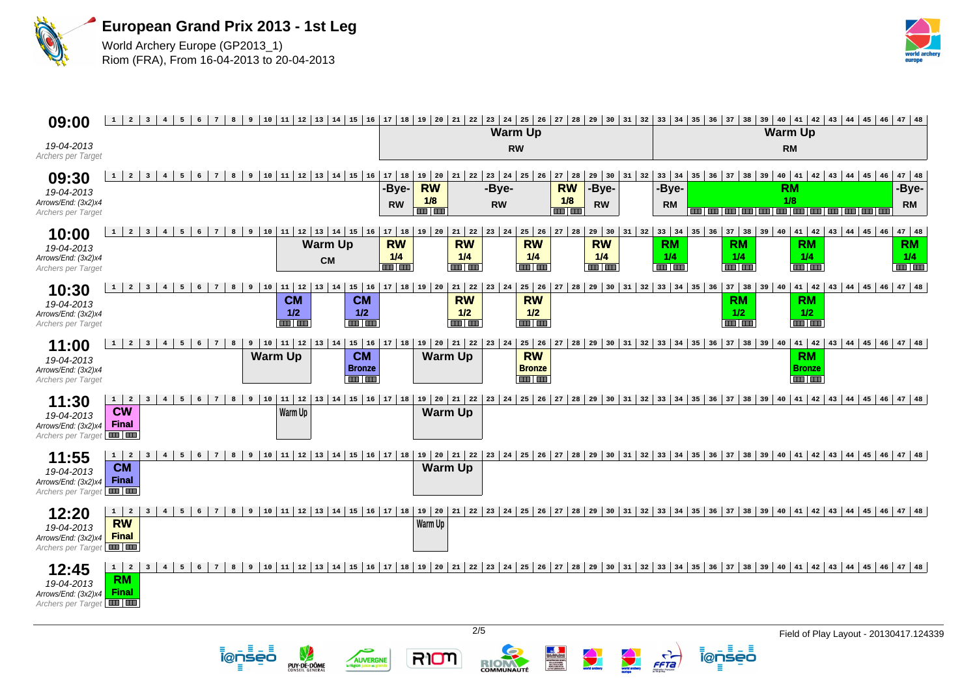



## **1 2 3 4 5 6 7 8 9 10 11 12 13 14 15 16 17 18 19 20 21 22 23 24 25 26 27 28 29 30 31 32 33 34 35 36 37 38 39 40 41 42 43 44 45 46 47 48 09:00 Warm Up Warm Up** 19-04-2013 **RM RW** Archers per Target 10 11 2 3 4 5 6 7 8 9 10 11 2 3 4 5 6 7 8 9 10 11 2 3 4 5 6 7 8 9 10 12 13 14 5 6 7 10 12 13 14 20 21 22 23 24 25 26 27 28 29 30 31 32 33 34 35 36 37 38 39 40 41 42 43 44 45 46 47 48 **09:30 -Bye-RW -Bye-RW -Bye--Bye-RM -Bye-**19-04-2013 **1/8 1/8 1/8** Arrows/End: (3x2)x4 **RW RW RW RM RM** Archers per Target **1 2 3 4 5 6 7 8 9 10 11 12 13 14 15 16 17 18 19 20 21 22 23 24 25 26 27 28 29 30 31 32 33 34 35 36 37 38 39 40 41 42 43 44 45 46 47 48 10:00 RW RW RW RW RM RM RM RM Warm Up** 19-04-2013 **1/4 1/4 1/4 1/4 1/4 1/4 1/4 1/4** Arrows/End: (3x2)x4 **CM** Archers per Target **The Lines The Lines The Lines 1 2 3 4 5 6 7 8 9 10 11 12 13 14 15 16 17 18 19 20 21 22 23 24 25 26 27 28 29 30 31 32 33 34 35 36 37 38 39 40 41 42 43 44 45 46 47 48 10:30 CM RW RW CM RM RM** 19-04-2013 **1/2 1/2 1/2 1/2 1/2 1/2** Arrows/End: (3x2)x4 Archers per Target 112 13 14 15 16 17 18 19 10 11 12 13 14 15 16 17 18 19 10 121 121 123 124 125 126 127 128 129 130 131 132 133 134 135 136 137 138 139 140 141 142 143 144 145 146 147 148 **11:00 CM RW** Warm Up<sup>1</sup> **CM**<sup>1</sup> Warm Up **RM** 19-04-2013 **Bronze Bronze Bronze** Arrows/End: (3x2)x4 Archers per Target 1 2 3 4 5 6 7 8 9 10 11 12 13 14 15 16 17 18 19 20 21 22 23 24 25 26 27 28 29 30 31 32 33 34 35 36 37 38 39 40 41 42 43 44 45 46 47 48 **11:30 CW Warm Up Warm Up** 19-04-2013 Arrows/End: (3x2)x4 **Final** Archers per Target 1 2 3 4 5 6 7 8 9 10 11 12 13 14 15 16 17 18 19 20 21 22 23 24 25 26 27 28 29 30 31 32 33 34 35 36 37 38 39 40 41 42 43 44 45 46 47 48 **11:55 CM Warm Up** 19-04-2013 Arrows/End: (3x2)x4 **Final** Archers per Target **12:20** 1 2 3 4 5 6 7 8 9 10 11 12 13 14 15 16 17 18 19 20 21 22 23 24 25 26 27 28 29 30 31 32 33 34 35 36 37 38 39 40 41 42 43 44 45 46 47 48 **RW Warm Up** 19-04-2013 Arrows/End: (3x2)x4 **Final** Archers per Target 1 2 3 4 5 6 7 8 9 10 11 12 13 14 15 16 17 18 19 20 21 22 23 24 25 26 27 28 29 30 31 32 33 34 35 36 37 38 39 40 41 42 43 44 45 46 47 48 **12:45 RM** 19-04-2013 **Final** Arrows/End: (3x2)x4 Archers per Target 2/5 Field of Play Layout - 20130417.124339FFTa i@nseo RIOM i@nseo

COMMUNAUT

Ξ

AUVERGNE

ite et gi

PUY-DE-DÔME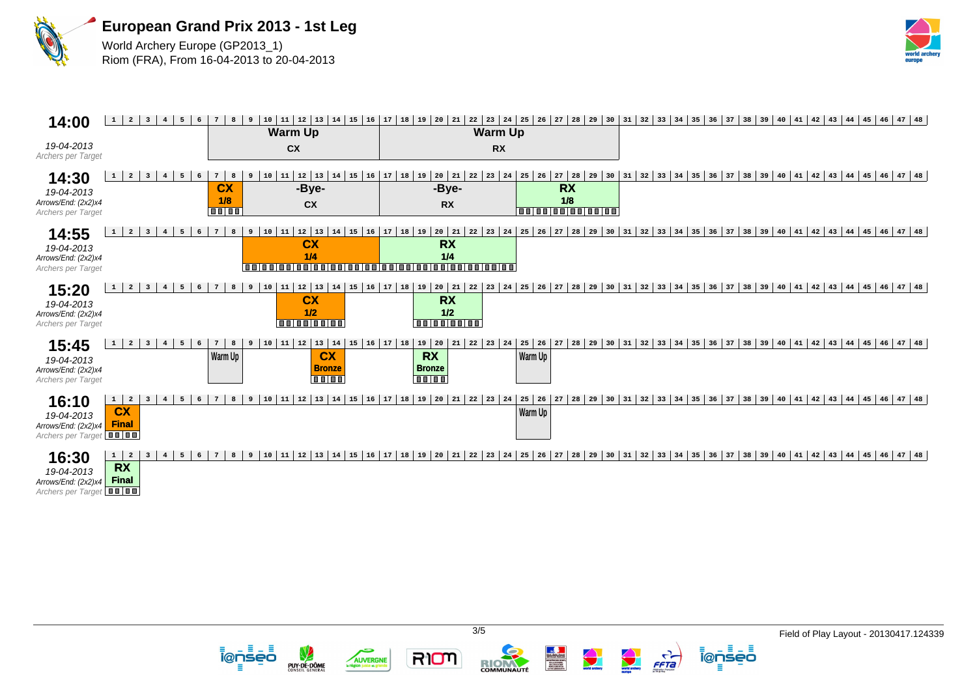



| 14:00                                                                       | $\overline{2}$<br>$\overline{\mathbf{3}}$<br>$4\overline{ }$<br>5<br>$\mathbf{1}$<br>6                                      | 10<br>8<br>-9                                                       | 15<br>11<br>  12   13<br>$ 16\rangle$<br>14<br><b>Warm Up</b>                   | 18<br>19<br>20<br>17<br>21                                                                 | $27$ 28<br>22<br>$23 \mid 24 \mid 25$<br>26<br><b>Warm Up</b>        | 29<br>32<br>33<br>34<br>30<br>31                                  | $39 \mid 40$<br>35<br>36<br>37<br>38<br>$\begin{array}{c} 41 \end{array}$ | $43 \mid 44 \mid 45 \mid 46 \mid 47 \mid 48$<br>42   |
|-----------------------------------------------------------------------------|-----------------------------------------------------------------------------------------------------------------------------|---------------------------------------------------------------------|---------------------------------------------------------------------------------|--------------------------------------------------------------------------------------------|----------------------------------------------------------------------|-------------------------------------------------------------------|---------------------------------------------------------------------------|------------------------------------------------------|
| 19-04-2013<br>Archers per Target                                            |                                                                                                                             |                                                                     | cx                                                                              |                                                                                            | <b>RX</b>                                                            |                                                                   |                                                                           |                                                      |
| 14:30<br>19-04-2013<br>Arrows/End: (2x2)x4<br>Archers per Target            | $\overline{a}$<br>$\mathbf{1}$<br>$\overline{\mathbf{3}}$<br>5<br>6<br>$4\overline{ }$                                      | $7\phantom{.0}$<br>8<br>10<br>9<br><b>CX</b><br>1/8<br><b>TTTTT</b> | $12 \mid 13$<br>15<br>16<br>11<br>14<br>-Bye-<br>cx                             | 18<br>17<br>20<br>19<br>21<br>-Bye-<br><b>RX</b>                                           | 22<br>23<br>27<br>24<br>25<br>26<br><b>RX</b><br>1/8<br>000000000000 | 29<br>$31 \mid 32 \mid$<br>33<br>34<br>30                         | 35 <br>$36 \mid 37 \mid$<br>39   40   41<br>38                            | 42<br> 46 47 48<br>$43 \mid 44 \mid 45$              |
| 14:55<br>19-04-2013<br>Arrows/End: (2x2)x4<br>Archers per Target            | $\overline{a}$<br>$\overline{\mathbf{3}}$<br>6<br>$\mathbf{1}$<br>$\overline{4}$<br>5                                       | 8<br>10<br>$7\phantom{.0}$<br>9<br><b>anioniani</b>                 | $15 \mid 16$<br>12<br> 13<br>14<br>11<br><b>CX</b><br>1/4                       | $20 \mid 21$<br>17<br>18<br>19<br><b>RX</b><br>1/4<br>100100100100100100100100100100100100 | 22<br>$23 \mid 24 \mid 25$<br>$27$ 28<br>26                          | $\begin{array}{c} 32 \end{array}$<br>29<br>31<br>33<br>34<br>30   | 35 <br>$36 \mid 37$<br>39   40   41<br>38                                 | 43 44 45 46 47 48<br>42                              |
| 15:20<br>19-04-2013<br>Arrows/End: (2x2)x4<br>Archers per Target            | $\mathbf{1}$<br>$\overline{2}$<br>$\overline{\mathbf{3}}$<br>5<br>6<br>$\overline{4}$                                       | 8<br>9<br>10                                                        | $12$ 13<br>15<br>14<br>11<br><b>CX</b><br>1/2<br>00000000                       | $16$ 17 18<br>$20$ 21<br>19<br><b>RX</b><br>1/2<br>0000000                                 | 27<br>28<br>22<br>23<br>$24$ 25<br>26                                | 29<br>30<br>$31 \mid 32$<br> 33<br>34                             | 35 <br>$36$ 37 38 39 40 41                                                | $42 \mid 43 \mid 44 \mid 45 \mid 46 \mid 47 \mid 48$ |
| 15:45<br>19-04-2013<br>Arrows/End: (2x2)x4<br>Archers per Target            | $\overline{\mathbf{3}}$<br>$\overline{2}$<br>$\mathbf 1$<br>$4\overline{ }$<br>5<br>6                                       | 10<br>$7\phantom{.0}$<br>8<br>9<br>Warm Up                          | $11 \mid 12 \mid 13 \mid 14$<br>15<br><b>CX</b><br><b>Bronze</b><br><b>0000</b> | $16$ 17 18<br>$19 \mid 20$<br>21<br><b>RX</b><br><b>Bronze</b><br>$\blacksquare$           | 22<br>$23 \mid 24 \mid 25 \mid 26$<br>27<br>28<br>Warm Up            | 29<br>30<br>$31 \mid 32 \mid$<br>33<br>34                         | $36 \mid 37 \mid 38$<br>39   40   41<br>35                                | 42<br>43 44 45 46 47 48                              |
| 16:10<br>19-04-2013<br>Arrows/End: (2x2)x4<br>Archers per Target <b>THE</b> | $\mathbf{1}$<br>$\overline{\mathbf{2}}$<br>$\overline{\mathbf{3}}$<br>$\overline{4}$<br>5<br>6<br><b>CX</b><br><b>Final</b> | 10<br>8<br>9                                                        | <b>16</b><br>$\begin{array}{c} 13 \end{array}$<br>15<br>11<br>14<br>12          | $19 \mid 20$<br>21<br>17<br>18                                                             | 22 <br>23<br>28<br>25<br>26<br>27<br>24<br>Warm Up                   | 29<br>$31 \mid 32 \mid 33$<br>34<br>30                            | 35                                                                        | $36$ 37 38 39 40 41 42 43 44 45 46 47 48             |
| 16:30<br>19-04-2013<br>Arrows/End: (2x2)x4<br>Archers per Target            | $1 \mid 2$<br>$\overline{\mathbf{3}}$<br>5<br>$\overline{4}$<br><b>RX</b><br><b>Final</b>                                   | 8<br>10                                                             | 15<br>$ 16\rangle$<br>12<br>  13<br>14<br>11                                    | 17<br>18<br>19<br>20<br>21                                                                 | $27$ 28<br>22<br>23<br> 25<br>26<br>24                               | $32$<br>29<br>30<br>31<br>$\begin{array}{c} 33 \end{array}$<br>34 | 35 <br>39   40   41<br>$36 \mid 37$<br>38                                 | 42   43   44   45   46   47   48                     |



5

AUVERGNE



ienseo

 $\frac{1}{\sqrt{1-\frac{1}{2}}}$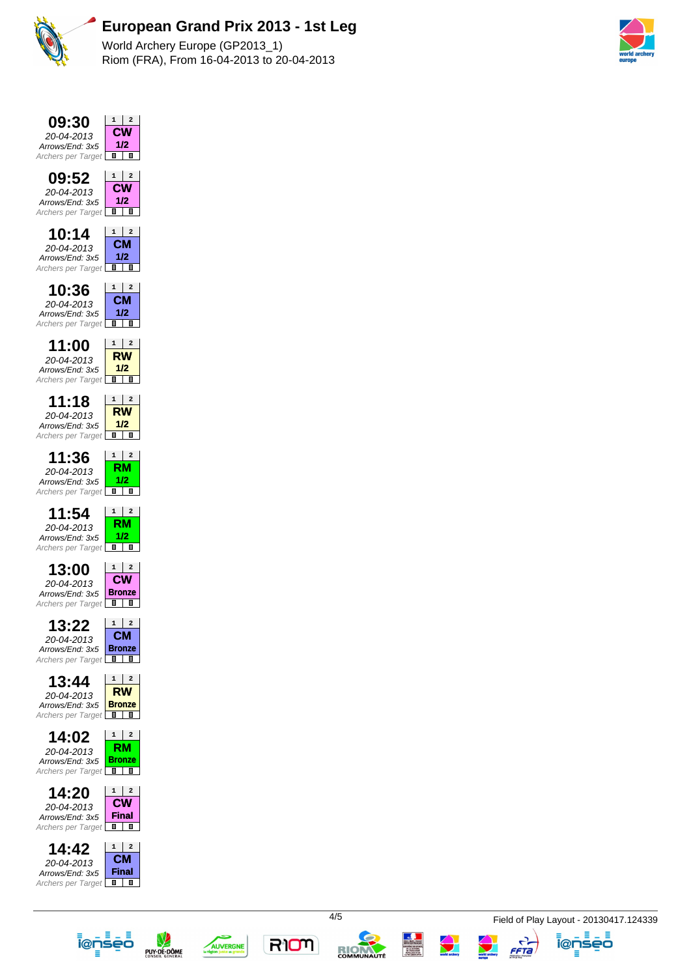

## **European Grand Prix 2013 - 1st Leg**

World Archery Europe (GP2013\_1) Riom (FRA), From 16-04-2013 to 20-04-2013

















FFTa